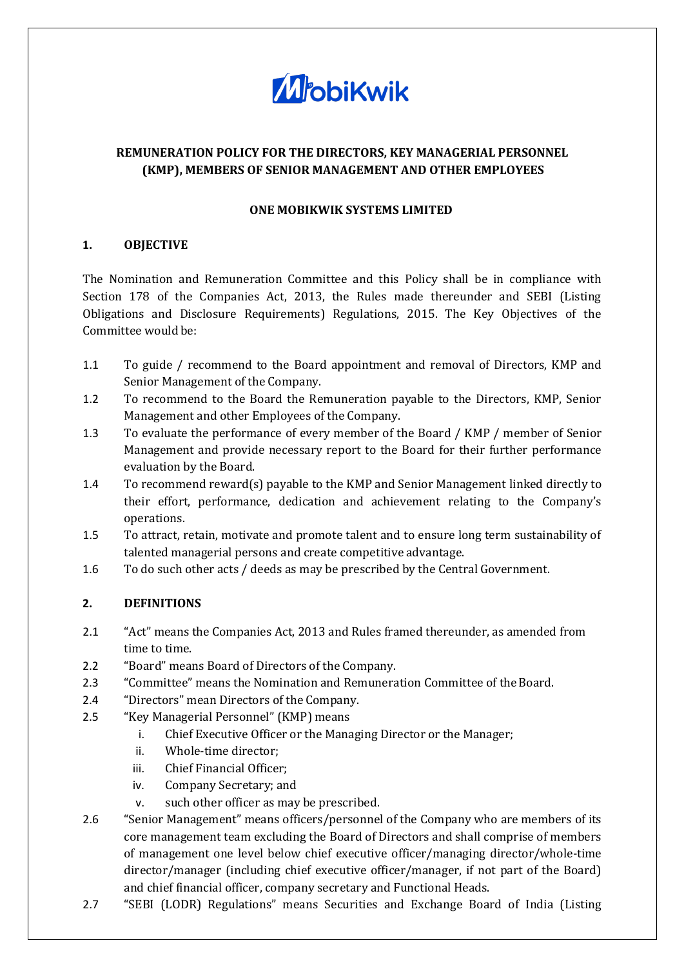

# **REMUNERATION POLICY FOR THE DIRECTORS, KEY MANAGERIAL PERSONNEL (KMP), MEMBERS OF SENIOR MANAGEMENT AND OTHER EMPLOYEES**

### **ONE MOBIKWIK SYSTEMS LIMITED**

### **1. OBJECTIVE**

The Nomination and Remuneration Committee and this Policy shall be in compliance with Section 178 of the Companies Act, 2013, the Rules made thereunder and SEBI (Listing Obligations and Disclosure Requirements) Regulations, 2015. The Key Objectives of the Committee would be:

- 1.1 To guide / recommend to the Board appointment and removal of Directors, KMP and Senior Management of the Company.
- 1.2 To recommend to the Board the Remuneration payable to the Directors, KMP, Senior Management and other Employees of the Company.
- 1.3 To evaluate the performance of every member of the Board / KMP / member of Senior Management and provide necessary report to the Board for their further performance evaluation by the Board.
- 1.4 To recommend reward(s) payable to the KMP and Senior Management linked directly to their effort, performance, dedication and achievement relating to the Company's operations.
- 1.5 To attract, retain, motivate and promote talent and to ensure long term sustainability of talented managerial persons and create competitive advantage.
- 1.6 To do such other acts / deeds as may be prescribed by the Central Government.

# **2. DEFINITIONS**

- 2.1 "Act" means the Companies Act, 2013 and Rules framed thereunder, as amended from time to time.
- 2.2 "Board" means Board of Directors of the Company.
- 2.3 "Committee" means the Nomination and Remuneration Committee of the Board.
- 2.4 "Directors" mean Directors of the Company.
- 2.5 "Key Managerial Personnel" (KMP) means
	- i. Chief Executive Officer or the Managing Director or the Manager;
	- ii. Whole-time director;
	- iii. Chief Financial Officer;
	- iv. Company Secretary; and
	- v. such other officer as may be prescribed.
- 2.6 "Senior Management" means officers/personnel of the Company who are members of its core management team excluding the Board of Directors and shall comprise of members of management one level below chief executive officer/managing director/whole-time director/manager (including chief executive officer/manager, if not part of the Board) and chief financial officer, company secretary and Functional Heads.
- 2.7 "SEBI (LODR) Regulations" means Securities and Exchange Board of India (Listing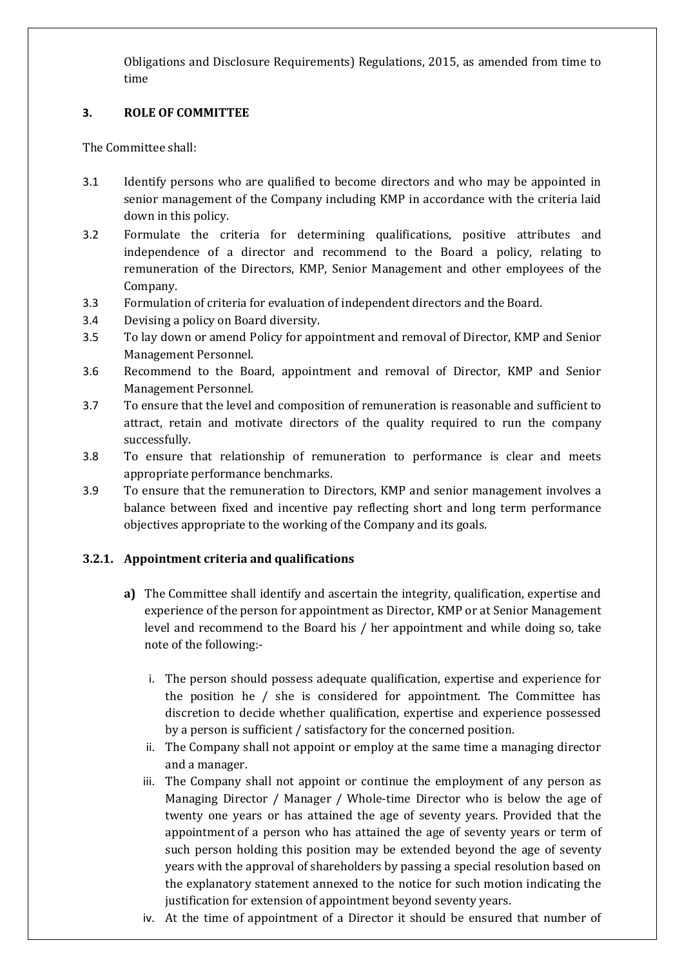Obligations and Disclosure Requirements) Regulations, 2015, as amended from time to time

## **3. ROLE OF COMMITTEE**

The Committee shall:

- 3.1 Identify persons who are qualified to become directors and who may be appointed in senior management of the Company including KMP in accordance with the criteria laid down in this policy.
- 3.2 Formulate the criteria for determining qualifications, positive attributes and independence of a director and recommend to the Board a policy, relating to remuneration of the Directors, KMP, Senior Management and other employees of the Company.
- 3.3 Formulation of criteria for evaluation of independent directors and the Board.
- 3.4 Devising a policy on Board diversity.
- 3.5 To lay down or amend Policy for appointment and removal of Director, KMP and Senior Management Personnel.
- 3.6 Recommend to the Board, appointment and removal of Director, KMP and Senior Management Personnel.
- 3.7 To ensure that the level and composition of remuneration is reasonable and sufficient to attract, retain and motivate directors of the quality required to run the company successfully.
- 3.8 To ensure that relationship of remuneration to performance is clear and meets appropriate performance benchmarks.
- 3.9 To ensure that the remuneration to Directors, KMP and senior management involves a balance between fixed and incentive pay reflecting short and long term performance objectives appropriate to the working of the Company and its goals.

# **3.2.1. Appointment criteria and qualifications**

- **a)** The Committee shall identify and ascertain the integrity, qualification, expertise and experience of the person for appointment as Director, KMP or at Senior Management level and recommend to the Board his / her appointment and while doing so, take note of the following:
	- i. The person should possess adequate qualification, expertise and experience for the position he / she is considered for appointment. The Committee has discretion to decide whether qualification, expertise and experience possessed by a person is sufficient / satisfactory for the concerned position.
	- ii. The Company shall not appoint or employ at the same time a managing director and a manager.
	- iii. The Company shall not appoint or continue the employment of any person as Managing Director / Manager / Whole-time Director who is below the age of twenty one years or has attained the age of seventy years. Provided that the appointment of a person who has attained the age of seventy years or term of such person holding this position may be extended beyond the age of seventy years with the approval of shareholders by passing a special resolution based on the explanatory statement annexed to the notice for such motion indicating the justification for extension of appointment beyond seventy years.
	- iv. At the time of appointment of a Director it should be ensured that number of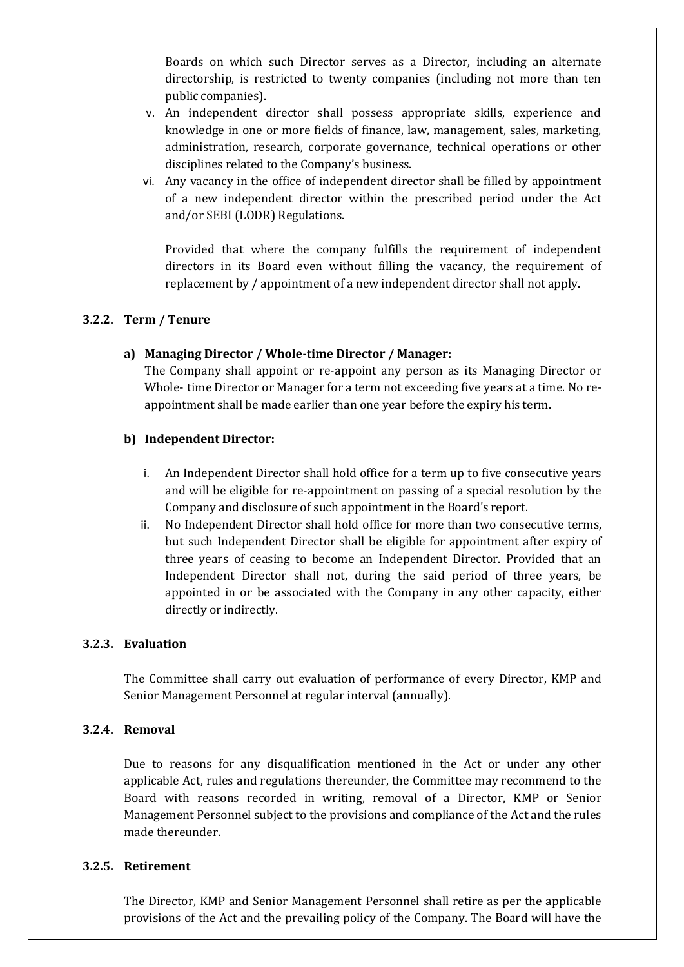Boards on which such Director serves as a Director, including an alternate directorship, is restricted to twenty companies (including not more than ten public companies).

- v. An independent director shall possess appropriate skills, experience and knowledge in one or more fields of finance, law, management, sales, marketing, administration, research, corporate governance, technical operations or other disciplines related to the Company's business.
- vi. Any vacancy in the office of independent director shall be filled by appointment of a new independent director within the prescribed period under the Act and/or SEBI (LODR) Regulations.

Provided that where the company fulfills the requirement of independent directors in its Board even without filling the vacancy, the requirement of replacement by / appointment of a new independent director shall not apply.

#### **3.2.2. Term / Tenure**

#### **a) Managing Director / Whole-time Director / Manager:**

The Company shall appoint or re-appoint any person as its Managing Director or Whole- time Director or Manager for a term not exceeding five years at a time. No reappointment shall be made earlier than one year before the expiry his term.

#### **b) Independent Director:**

- i. An Independent Director shall hold office for a term up to five consecutive years and will be eligible for re-appointment on passing of a special resolution by the Company and disclosure of such appointment in the Board's report.
- ii. No Independent Director shall hold office for more than two consecutive terms, but such Independent Director shall be eligible for appointment after expiry of three years of ceasing to become an Independent Director. Provided that an Independent Director shall not, during the said period of three years, be appointed in or be associated with the Company in any other capacity, either directly or indirectly.

#### **3.2.3. Evaluation**

The Committee shall carry out evaluation of performance of every Director, KMP and Senior Management Personnel at regular interval (annually).

#### **3.2.4. Removal**

Due to reasons for any disqualification mentioned in the Act or under any other applicable Act, rules and regulations thereunder, the Committee may recommend to the Board with reasons recorded in writing, removal of a Director, KMP or Senior Management Personnel subject to the provisions and compliance of the Act and the rules made thereunder.

#### **3.2.5. Retirement**

The Director, KMP and Senior Management Personnel shall retire as per the applicable provisions of the Act and the prevailing policy of the Company. The Board will have the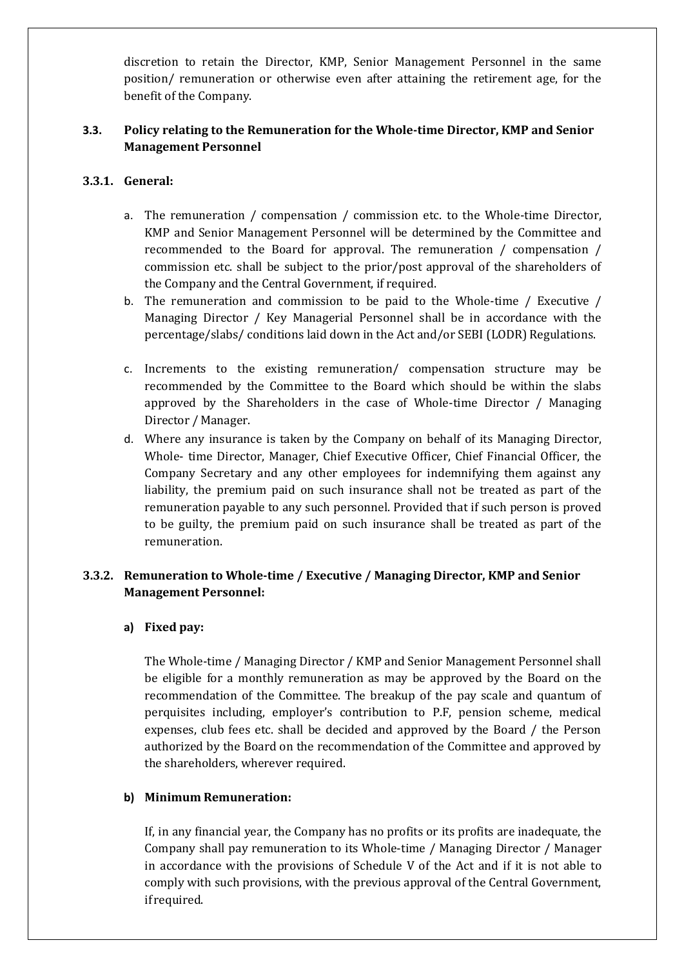discretion to retain the Director, KMP, Senior Management Personnel in the same position/ remuneration or otherwise even after attaining the retirement age, for the benefit of the Company.

# **3.3. Policy relating to the Remuneration for the Whole-time Director, KMP and Senior Management Personnel**

## **3.3.1. General:**

- a. The remuneration / compensation / commission etc. to the Whole-time Director, KMP and Senior Management Personnel will be determined by the Committee and recommended to the Board for approval. The remuneration / compensation / commission etc. shall be subject to the prior/post approval of the shareholders of the Company and the Central Government, if required.
- b. The remuneration and commission to be paid to the Whole-time / Executive / Managing Director / Key Managerial Personnel shall be in accordance with the percentage/slabs/ conditions laid down in the Act and/or SEBI (LODR) Regulations.
- c. Increments to the existing remuneration/ compensation structure may be recommended by the Committee to the Board which should be within the slabs approved by the Shareholders in the case of Whole-time Director / Managing Director / Manager.
- d. Where any insurance is taken by the Company on behalf of its Managing Director, Whole- time Director, Manager, Chief Executive Officer, Chief Financial Officer, the Company Secretary and any other employees for indemnifying them against any liability, the premium paid on such insurance shall not be treated as part of the remuneration payable to any such personnel. Provided that if such person is proved to be guilty, the premium paid on such insurance shall be treated as part of the remuneration.

# **3.3.2. Remuneration to Whole-time / Executive / Managing Director, KMP and Senior Management Personnel:**

### **a) Fixed pay:**

The Whole-time / Managing Director / KMP and Senior Management Personnel shall be eligible for a monthly remuneration as may be approved by the Board on the recommendation of the Committee. The breakup of the pay scale and quantum of perquisites including, employer's contribution to P.F, pension scheme, medical expenses, club fees etc. shall be decided and approved by the Board / the Person authorized by the Board on the recommendation of the Committee and approved by the shareholders, wherever required.

### **b) Minimum Remuneration:**

If, in any financial year, the Company has no profits or its profits are inadequate, the Company shall pay remuneration to its Whole-time / Managing Director / Manager in accordance with the provisions of Schedule V of the Act and if it is not able to comply with such provisions, with the previous approval of the Central Government, if required.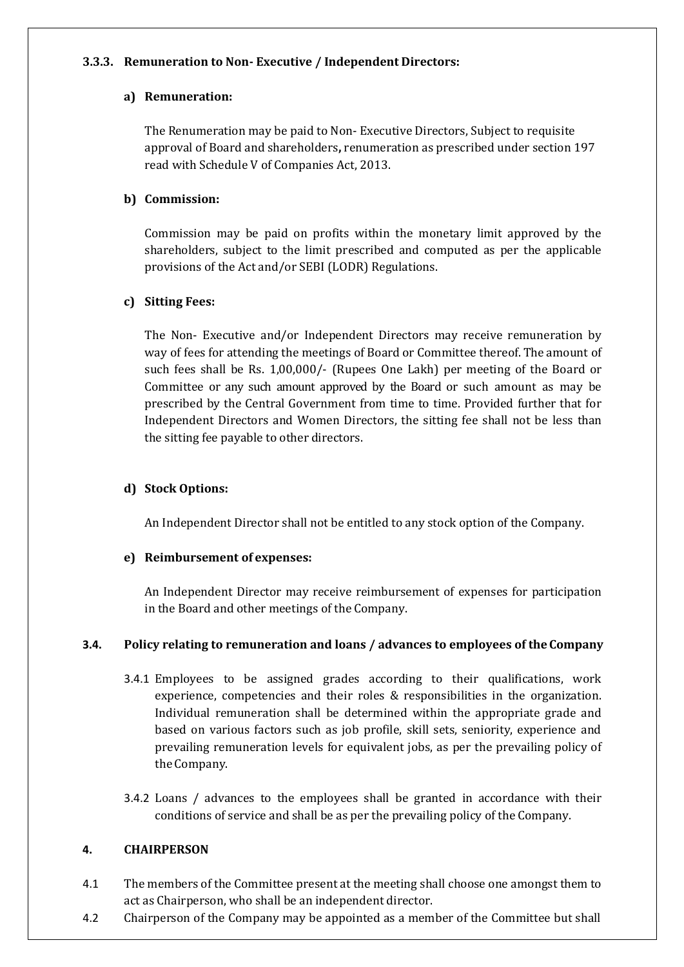### **3.3.3. Remuneration to Non- Executive / Independent Directors:**

## **a) Remuneration:**

The Renumeration may be paid to Non- Executive Directors, Subject to requisite approval of Board and shareholders**,** renumeration as prescribed under section 197 read with Schedule V of Companies Act, 2013.

## **b) Commission:**

Commission may be paid on profits within the monetary limit approved by the shareholders, subject to the limit prescribed and computed as per the applicable provisions of the Act and/or SEBI (LODR) Regulations.

# **c) Sitting Fees:**

The Non- Executive and/or Independent Directors may receive remuneration by way of fees for attending the meetings of Board or Committee thereof. The amount of such fees shall be Rs. 1,00,000/- (Rupees One Lakh) per meeting of the Board or Committee or any such amount approved by the Board or such amount as may be prescribed by the Central Government from time to time. Provided further that for Independent Directors and Women Directors, the sitting fee shall not be less than the sitting fee payable to other directors.

# **d) Stock Options:**

An Independent Director shall not be entitled to any stock option of the Company.

# **e) Reimbursement of expenses:**

An Independent Director may receive reimbursement of expenses for participation in the Board and other meetings of the Company.

# **3.4. Policy relating to remuneration and loans / advances to employees of theCompany**

- 3.4.1 Employees to be assigned grades according to their qualifications, work experience, competencies and their roles & responsibilities in the organization. Individual remuneration shall be determined within the appropriate grade and based on various factors such as job profile, skill sets, seniority, experience and prevailing remuneration levels for equivalent jobs, as per the prevailing policy of the Company.
- 3.4.2 Loans / advances to the employees shall be granted in accordance with their conditions of service and shall be as per the prevailing policy of the Company.

# **4. CHAIRPERSON**

- 4.1 The members of the Committee present at the meeting shall choose one amongst them to act as Chairperson, who shall be an independent director.
- 4.2 Chairperson of the Company may be appointed as a member of the Committee but shall